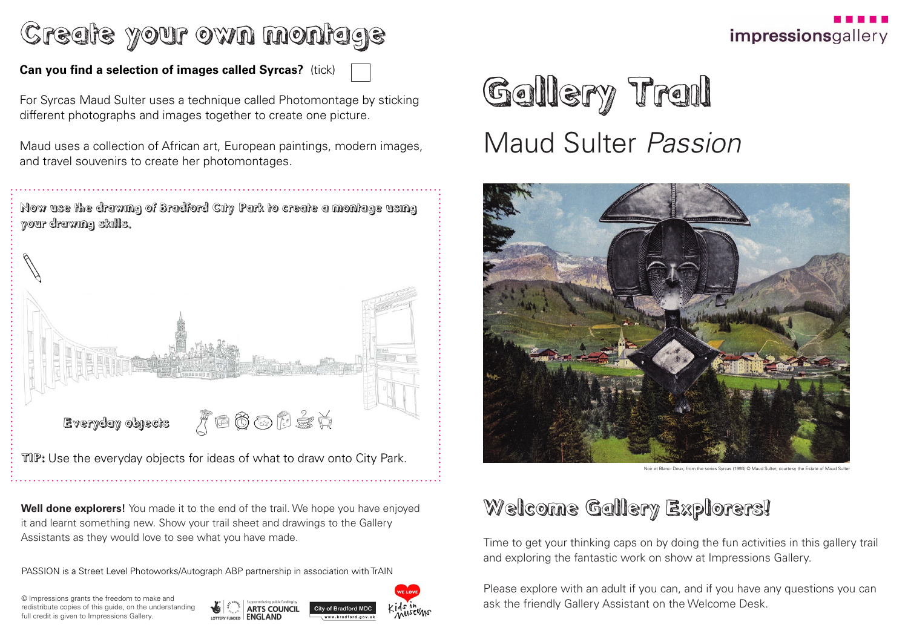© Impressions grants the freedom to make and redistribute copies of this guide, on the understanding full credit is given to Impressions Gallery.







**Well done explorers!** You made it to the end of the trail. We hope you have enjoyed it and learnt something new. Show your trail sheet and drawings to the Gallery Assistants as they would love to see what you have made.

Gallery Trail Maud Sulter *Passion*



## Welcome Gallery Explorers!

Time to get your thinking caps on by doing the fun activities in this gallery trail and exploring the fantastic work on show at Impressions Gallery.

Please explore with an adult if you can, and if you have any questions you can ask the friendly Gallery Assistant on the Welcome Desk.





# Create your own montage

### **Can you find a selection of images called Syrcas?** (tick)

For Syrcas Maud Sulter uses a technique called Photomontage by sticking different photographs and images together to create one picture.

Maud uses a collection of African art, European paintings, modern images, and travel souvenirs to create her photomontages.

Noir et Blanc- Deux, from the series Syrcas (1993) © Maud Sulter, courtesy the Estate of Maud Sulter

PASSION is a Street Level Photoworks/Autograph ABP partnership in association with TrAIN



TIP: Use the everyday objects for ideas of what to draw onto City Park.